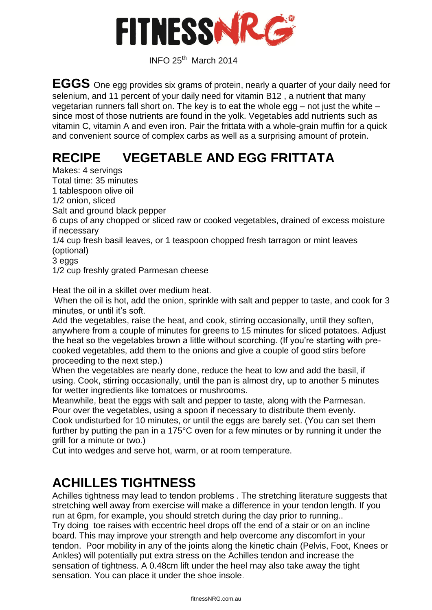

INFO 25th March <sup>2014</sup>

**EGGS** One egg provides six grams of protein, nearly a quarter of your daily need for selenium, and 11 percent of your daily need for vitamin B12 , a nutrient that many vegetarian runners fall short on. The key is to eat the whole egg – not just the white – since most of those nutrients are found in the yolk. Vegetables add nutrients such as vitamin C, vitamin A and even iron. Pair the frittata with a whole-grain muffin for a quick and convenient source of complex carbs as well as a surprising amount of protein.

# **RECIPE VEGETABLE AND EGG FRITTATA**

Makes: 4 servings

Total time: 35 minutes 1 tablespoon olive oil

1/2 onion, sliced

Salt and ground black pepper

6 cups of any chopped or sliced raw or cooked vegetables, drained of excess moisture if necessary

1/4 cup fresh basil leaves, or 1 teaspoon chopped fresh tarragon or mint leaves (optional)

3 eggs

1/2 cup freshly grated Parmesan cheese

Heat the oil in a skillet over medium heat.

When the oil is hot, add the onion, sprinkle with salt and pepper to taste, and cook for 3 minutes, or until it's soft.

Add the vegetables, raise the heat, and cook, stirring occasionally, until they soften, anywhere from a couple of minutes for greens to 15 minutes for sliced potatoes. Adjust the heat so the vegetables brown a little without scorching. (If you're starting with precooked vegetables, add them to the onions and give a couple of good stirs before proceeding to the next step.)

When the vegetables are nearly done, reduce the heat to low and add the basil, if using. Cook, stirring occasionally, until the pan is almost dry, up to another 5 minutes for wetter ingredients like tomatoes or mushrooms.

Meanwhile, beat the eggs with salt and pepper to taste, along with the Parmesan. Pour over the vegetables, using a spoon if necessary to distribute them evenly.

Cook undisturbed for 10 minutes, or until the eggs are barely set. (You can set them further by putting the pan in a 175°C oven for a few minutes or by running it under the grill for a minute or two.)

Cut into wedges and serve hot, warm, or at room temperature.

#### **ACHILLES TIGHTNESS**

Achilles tightness may lead to tendon problems . The stretching literature suggests that stretching well away from exercise will make a difference in your tendon length. If you run at 6pm, for example, you should stretch during the day prior to running..

Try doing toe raises with eccentric heel drops off the end of a stair or on an incline board. This may improve your strength and help overcome any discomfort in your tendon. Poor mobility in any of the joints along the kinetic chain (Pelvis, Foot, Knees or Ankles) will potentially put extra stress on the Achilles tendon and increase the sensation of tightness. A 0.48cm lift under the heel may also take away the tight sensation. You can place it under the shoe insole.